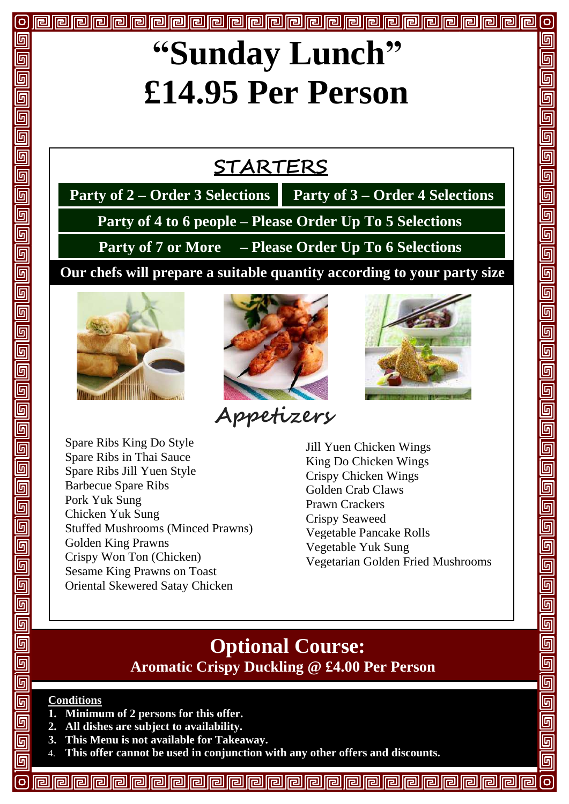# **"Sunday Lunch" £14.95 Per Person**

## **STARTERS**

 **Party of 2 – Order 3 Selections Party of 3 – Order 4 Selections**

 **Party of 4 to 6 people – Please Order Up To 5 Selections**

 **Party of 7 or More – Please Order Up To 6 Selections** 

**Our chefs will prepare a suitable quantity according to your party size** 



 $|O|$ 

តា

回

 $\overline{\mathbb{F}}$ 

 $\overline{\mathbb{G}}$  $\overline{\mathbb{G}}$ 回

<u>同同同</u>

 $\overline{\overline{\mathbb{G}}}$ 

 $\overline{\mathbb{G}}$ 

回回

 $\overline{\overline{\mathbb{G}}}$ 

[9]<br>[9]

 $\overline{\overline{\mathbb{G}}}$ 

 $\overline{\overline{\mathbb{G}}}$ 

 $\overline{\mathbb{G}}$ 

 $\overline{\mathbb{G}}$ 

回回回

 $\overline{\mathbb{F}}$ 

 $\overline{\mathbb{F}}$  $\overline{\mathbb{G}}$ 

- 阿

回

同

同

<u>ក</u> 同 I



**Appetizers**



Spare Ribs King Do Style Spare Ribs in Thai Sauce Spare Ribs Jill Yuen Style Barbecue Spare Ribs Pork Yuk Sung Chicken Yuk Sung Stuffed Mushrooms (Minced Prawns) Golden King Prawns Crispy Won Ton (Chicken) Sesame King Prawns on Toast Oriental Skewered Satay Chicken

Jill Yuen Chicken Wings King Do Chicken Wings Crispy Chicken Wings Golden Crab Claws Prawn Crackers Crispy Seaweed Vegetable Pancake Rolls Vegetable Yuk Sung Vegetarian Golden Fried Mushrooms

#### **Optional Course: Aromatic Crispy Duckling @ £4.00 Per Person**

#### **Conditions**

- **1. Minimum of 2 persons for this offer.**
- **2. All dishes are subject to availability.**
- **3. This Menu is not available for Takeaway.**
- 4. **This offer cannot be used in conjunction with any other offers and discounts.**

同